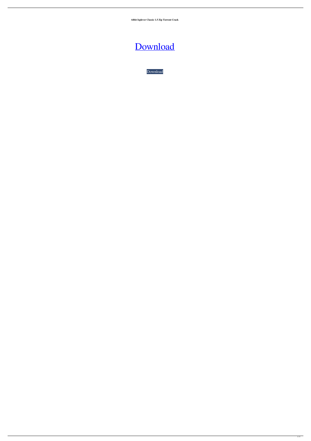**64bit Isplever Classic 1.5 Zip Torrent Crack**

[Download](http://evacdir.com/SXNwbGV2ZXIgY2xhc3NpYyAxLjUgY3JhY2sSXN/carts/sulpice.ZG93bmxvYWR8WXkyWVcxdWZId3hOalV5TnpRd09EWTJmSHd5TlRjMGZId29UU2tnY21WaFpDMWliRzluSUZ0R1lYTjBJRWRGVGww?galway=lapre&valorem=&pointework=)

[Download](http://evacdir.com/SXNwbGV2ZXIgY2xhc3NpYyAxLjUgY3JhY2sSXN/carts/sulpice.ZG93bmxvYWR8WXkyWVcxdWZId3hOalV5TnpRd09EWTJmSHd5TlRjMGZId29UU2tnY21WaFpDMWliRzluSUZ0R1lYTjBJRWRGVGww?galway=lapre&valorem=&pointework=)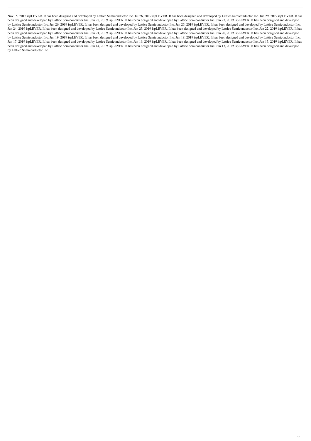Nov 15, 2012 ispLEVER. It has been designed and developed by Lattice Semiconductor Inc. Jul 26, 2019 ispLEVER. It has been designed and developed by Lattice Semiconductor Inc. Jun 29, 2019 ispLEVER. It has been designed and developed by Lattice Semiconductor Inc. Jun 28, 2019 ispLEVER. It has been designed and developed by Lattice Semiconductor Inc. Jun 27, 2019 ispLEVER. It has been designed and developed by Lattice Semiconductor Inc. Jun 26, 2019 ispLEVER. It has been designed and developed by Lattice Semiconductor Inc. Jun 25, 2019 ispLEVER. It has been designed and developed by Lattice Semiconductor Inc. Jun 24, 2019 ispLEVER. It has been designed and developed by Lattice Semiconductor Inc. Jun 23, 2019 ispLEVER. It has been designed and developed by Lattice Semiconductor Inc. Jun 22, 2019 ispLEVER. It has been designed and developed by Lattice Semiconductor Inc. Jun 21, 2019 ispLEVER. It has been designed and developed by Lattice Semiconductor Inc. Jun 20, 2019 ispLEVER. It has been designed and developed by Lattice Semiconductor Inc. Jun 19, 2019 ispLEVER. It has been designed and developed by Lattice Semiconductor Inc. Jun 18, 2019 ispLEVER. It has been designed and developed by Lattice Semiconductor Inc. Jun 17, 2019 ispLEVER. It has been designed and developed by Lattice Semiconductor Inc. Jun 16, 2019 ispLEVER. It has been designed and developed by Lattice Semiconductor Inc. Jun 15, 2019 ispLEVER. It has been designed and developed by Lattice Semiconductor Inc. Jun 14, 2019 ispLEVER. It has been designed and developed by Lattice Semiconductor Inc. Jun 13, 2019 ispLEVER. It has been designed and developed by Lattice Semiconductor Inc.